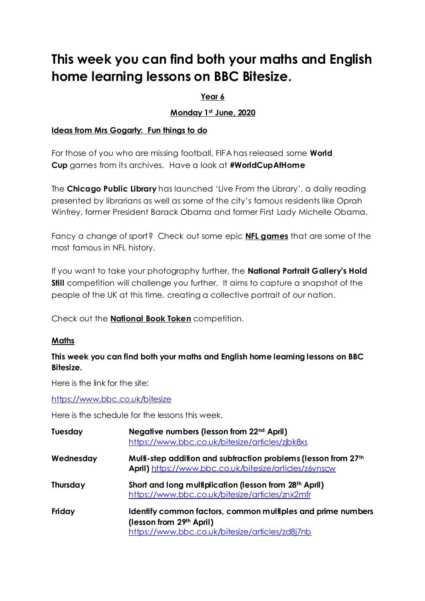# **This week you can find both your maths and English home learning lessons on BBC Bitesize.**

## **Year 6**

## **Monday 1 st June, 2020**

#### **Ideas from Mrs Gogarty: Fun things to do**

For those of you who are missing football, FIFA has released some **[World](https://discover.ticketmaster.co.uk/sport/the-best-world-cup-matches-in-the-fifa-archives-50359/?j=3056096&l=20473_HTML&u=154798967&mid=1314420&jb=722&et_mid=3056096&et_rid=619056062&sfmc_sub=619056062&utm_source=eml-tm_nl01_20_05_14_discover-article-roundup_ca&utm_medium=email&utm_campaign=1314420_3056096_5/14/2020) [Cup](https://discover.ticketmaster.co.uk/sport/the-best-world-cup-matches-in-the-fifa-archives-50359/?j=3056096&l=20473_HTML&u=154798967&mid=1314420&jb=722&et_mid=3056096&et_rid=619056062&sfmc_sub=619056062&utm_source=eml-tm_nl01_20_05_14_discover-article-roundup_ca&utm_medium=email&utm_campaign=1314420_3056096_5/14/2020)** games from its archives. Have a look at **#WorldCupAtHome**

The **[Chicago](https://www.chipublib.org/) Public Library** has launched 'Live From the Library', a daily reading presented by librarians as well as some of the city's famous residents like Oprah Winfrey, former President Barack Obama and former First Lady Michelle Obama.

Fancy a change of sport? Check out some epic **NFL [games](https://discover.ticketmaster.co.uk/sport/8-epic-games-in-nfl-history-50311/?j=3054303&l=20473_HTML&u=154741628&mid=1314420&jb=724&et_mid=3054303&et_rid=619056062&sfmc_sub=619056062&utm_source=eml-tm_nl01_20_05_07_discover-article-roundup_ca&utm_medium=email&utm_campaign=1314420_3054303_5/7/2020)** that are some of the most famous in NFL history.

If you want to take your photography further, the **National Portrait [Gallery's](https://www.npg.org.uk/hold-still/) Hold [Still](https://www.npg.org.uk/hold-still/)** competition will challenge you further. It aims to capture a snapshot of the people of the UK at this time, creating a collective portrait of our nation.

Check out the **[National](https://www.nationalbooktokens.com/schools) Book Token** competition.

## **Maths**

## **This week you can find both your maths and English home learning lessons on BBC Bitesize.**

Here is the link for the site:

<https://www.bbc.co.uk/bitesize>

Here is the schedule for the lessons this week.

| <b>Tuesday</b> | Negative numbers (lesson from 22 <sup>nd</sup> April)<br>https://www.bbc.co.uk/bitesize/articles/zjbk8xs                                   |
|----------------|--------------------------------------------------------------------------------------------------------------------------------------------|
| Wednesday      | Multi-step addition and subtraction problems (lesson from 27th<br>April) https://www.bbc.co.uk/bitesize/articles/z6ynscw                   |
| Thursday       | Short and long multiplication (lesson from 28 <sup>th</sup> April)<br>https://www.bbc.co.uk/bitesize/articles/znx2mfr                      |
| Friday         | Identify common factors, common multiples and prime numbers<br>(lesson from 29th April)<br>https://www.bbc.co.uk/bitesize/articles/zd8j7nb |